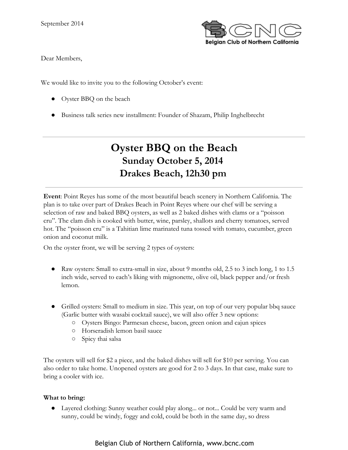

Dear Members,

We would like to invite you to the following October's event:

- Oyster BBQ on the beach
- Business talk series new installment: Founder of Shazam, Philip Inghelbrecht

# **Oyster BBQ on the Beach Sunday October 5, 2014 Drakes Beach, 12h30 pm**

**Event**: Point Reyes has some of the most beautiful beach scenery in Northern California. The plan is to take over part of Drakes Beach in Point Reyes where our chef will be serving a selection of raw and baked BBQ oysters, as well as 2 baked dishes with clams or a "poisson cru". The clam dish is cooked with butter, wine, parsley, shallots and cherry tomatoes, served hot. The "poisson cru" is a Tahitian lime marinated tuna tossed with tomato, cucumber, green onion and coconut milk.

On the oyster front, we will be serving 2 types of oysters:

- Raw oysters: Small to extra-small in size, about 9 months old, 2.5 to 3 inch long, 1 to 1.5 inch wide, served to each's liking with mignonette, olive oil, black pepper and/or fresh lemon.
- Grilled oysters: Small to medium in size. This year, on top of our very popular bbq sauce (Garlic butter with wasabi cocktail sauce), we will also offer 3 new options:
	- Oysters Bingo: Parmesan cheese, bacon, green onion and cajun spices
	- Horseradish lemon basil sauce
	- Spicy thai salsa

The oysters will sell for \$2 a piece, and the baked dishes will sell for \$10 per serving. You can also order to take home. Unopened oysters are good for 2 to 3 days. In that case, make sure to bring a cooler with ice.

#### **What to bring:**

● Layered clothing: Sunny weather could play along... or not... Could be very warm and sunny, could be windy, foggy and cold, could be both in the same day, so dress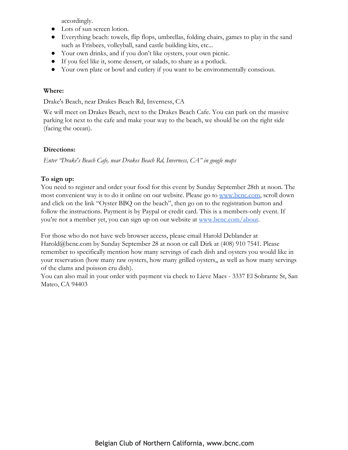accordingly.

- Lots of sun screen lotion.
- Everything beach: towels, flip flops, umbrellas, folding chairs, games to play in the sand such as Frisbees, volleyball, sand castle building kits, etc...
- Your own drinks, and if you don't like oysters, your own picnic.
- If you feel like it, some dessert, or salads, to share as a potluck.
- Your own plate or bowl and cutlery if you want to be environmentally conscious.

## **Where:**

Drake's Beach, near Drakes Beach Rd, Inverness, CA

We will meet on Drakes Beach, next to the Drakes Beach Cafe. You can park on the massive parking lot next to the cafe and make your way to the beach, we should be on the right side (facing the ocean).

## **Directions:**

*Enter "Drake's Beach Cafe, near Drakes Beach Rd, Inverness, CA" in google maps*

## **To sign up:**

You need to register and order your food for this event by Sunday September 28th at noon. The most convenient way is to do it online on our website. Please go to [www.bcnc.com,](http://www.google.com/url?q=http%3A%2F%2Fwww.bcnc.com&sa=D&sntz=1&usg=AFQjCNH4Hj_cDSQpnJ98iUCYE4oRmGfldQ) scroll down and click on the link "Oyster BBQ on the beach", then go on to the registration button and follow the instructions. Payment is by Paypal or credit card. This is a members-only event. If you're not a member yet, you can sign up on our website at [www.bcnc.com/about](http://www.google.com/url?q=http%3A%2F%2Fwww.bcnc.com%2Fabout&sa=D&sntz=1&usg=AFQjCNFo2iiswKwpWrWpgac1FzKPvz67dA).

For those who do not have web browser access, please email Harold Deblander at Harold@bcnc.com by Sunday September 28 at noon or call Dirk at (408) 910 7541. Please remember to specifically mention how many servings of each dish and oysters you would like in your reservation (how many raw oysters, how many grilled oysters,, as well as how many servings of the clams and poisson cru dish).

You can also mail in your order with payment via check to Lieve Maes - 3337 El Sobrante St, San Mateo, CA 94403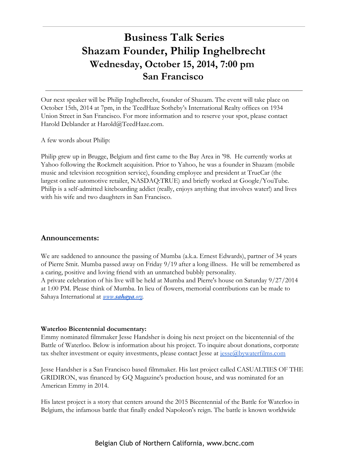# **Business Talk Series Shazam Founder, Philip Inghelbrecht Wednesday, October 15, 2014, 7:00 pm San Francisco**

Our next speaker will be Philip Inghelbrecht, founder of Shazam. The event will take place on October 15th, 2014 at 7pm, in the TeedHaze Sotheby's International Realty offices on 1934 Union Street in San Francisco. For more information and to reserve your spot, please contact Harold Deblander at Harold@TeedHaze.com.

A few words about Philip:

Philip grew up in Brugge, Belgium and first came to the Bay Area in '98. He currently works at Yahoo following the Rockmelt acquisition. Prior to Yahoo, he was a founder in Shazam (mobile music and television recognition service), founding employee and president at TrueCar (the largest online automotive retailer, NASDAQ:TRUE) and briefly worked at Google/YouTube. Philip is a self-admitted kiteboarding addict (really, enjoys anything that involves water!) and lives with his wife and two daughters in San Francisco.

#### **Announcements:**

We are saddened to announce the passing of Mumba (a.k.a. Ernest Edwards), partner of 34 years of Pierre Smit. Mumba passed away on Friday 9/19 after a long illness. He will be remembered as a caring, positive and loving friend with an unmatched bubbly personality. A private celebration of his live will be held at Mumba and Pierre's house on Saturday 9/27/2014 at 1:00 PM. Please think of Mumba. In lieu of flowers, memorial contributions can be made to Sahaya International at *[www.](http://www.google.com/url?q=http%3A%2F%2Fwww.sahaya.org%2F&sa=D&sntz=1&usg=AFQjCNEi62ZrYaXUY_EOkmYKBdgt-j65hg)[sahaya](http://www.google.com/url?q=http%3A%2F%2Fwww.sahaya.org%2F&sa=D&sntz=1&usg=AFQjCNEi62ZrYaXUY_EOkmYKBdgt-j65hg)[.org](http://www.google.com/url?q=http%3A%2F%2Fwww.sahaya.org%2F&sa=D&sntz=1&usg=AFQjCNEi62ZrYaXUY_EOkmYKBdgt-j65hg).*

#### **Waterloo Bicentennial documentary:**

Emmy nominated filmmaker Jesse Handsher is doing his next project on the bicentennial of the Battle of Waterloo. Below is information about his project. To inquire about donations, corporate tax shelter investment or equity investments, please contact Jesse at [jesse@bywaterfilms.com](mailto:jesse@bywaterfilms.com)

Jesse Handsher is a San Francisco based filmmaker. His last project called CASUALTIES OF THE GRIDIRON, was financed by GQ Magazine's production house, and was nominated for an American Emmy in 2014.

His latest project is a story that centers around the 2015 Bicentennial of the Battle for Waterloo in Belgium, the infamous battle that finally ended Napoleon's reign. The battle is known worldwide